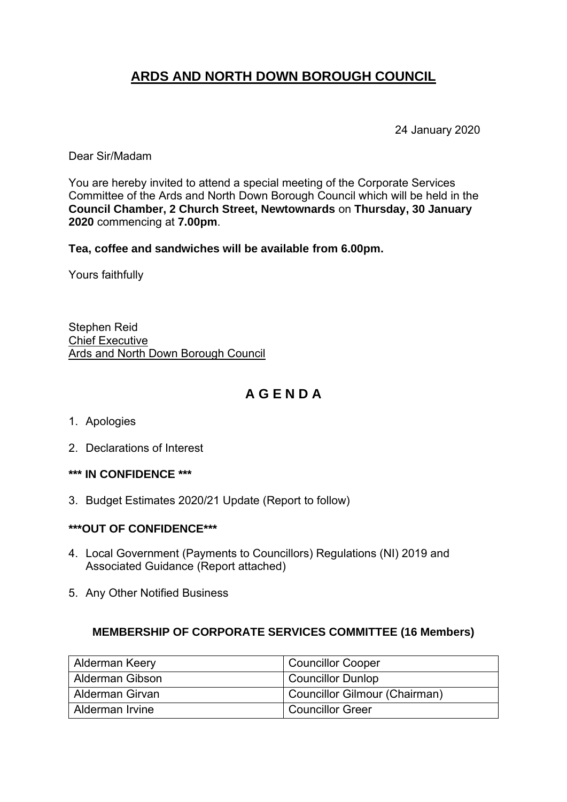## **ARDS AND NORTH DOWN BOROUGH COUNCIL**

24 January 2020

Dear Sir/Madam

You are hereby invited to attend a special meeting of the Corporate Services Committee of the Ards and North Down Borough Council which will be held in the **Council Chamber, 2 Church Street, Newtownards** on **Thursday, 30 January 2020** commencing at **7.00pm**.

**Tea, coffee and sandwiches will be available from 6.00pm.**

Yours faithfully

Stephen Reid Chief Executive Ards and North Down Borough Council

#### **A G E N D A**

- 1. Apologies
- 2. Declarations of Interest
- **\*\*\* IN CONFIDENCE \*\*\***
- 3. Budget Estimates 2020/21 Update (Report to follow)

#### **\*\*\*OUT OF CONFIDENCE\*\*\***

- 4. Local Government (Payments to Councillors) Regulations (NI) 2019 and Associated Guidance (Report attached)
- 5. Any Other Notified Business

#### **MEMBERSHIP OF CORPORATE SERVICES COMMITTEE (16 Members)**

| Alderman Keery         | Councillor Cooper             |
|------------------------|-------------------------------|
| Alderman Gibson        | <b>Councillor Dunlop</b>      |
| <b>Alderman Girvan</b> | Councillor Gilmour (Chairman) |
| Alderman Irvine        | Councillor Greer              |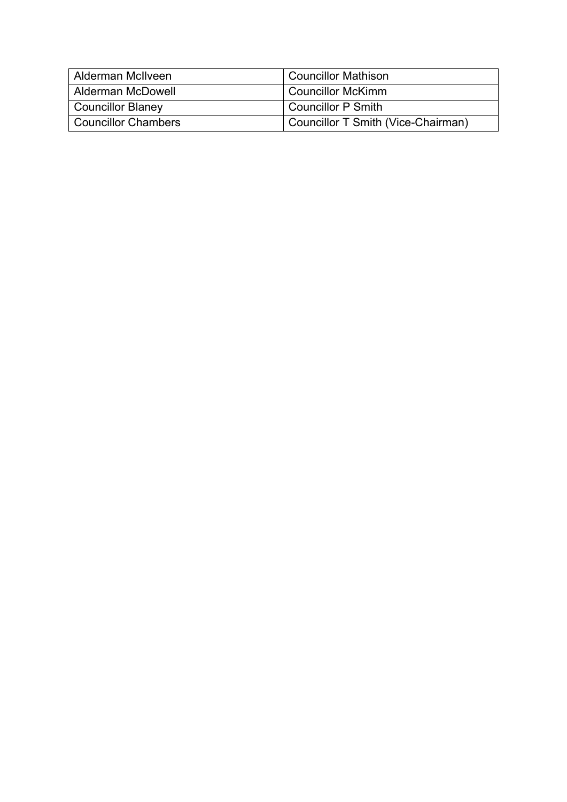| Alderman McIlveen        | <b>Councillor Mathison</b>         |
|--------------------------|------------------------------------|
| l Alderman McDowell      | Councillor McKimm                  |
| <b>Councillor Blaney</b> | <b>Councillor P Smith</b>          |
| Councillor Chambers      | Councillor T Smith (Vice-Chairman) |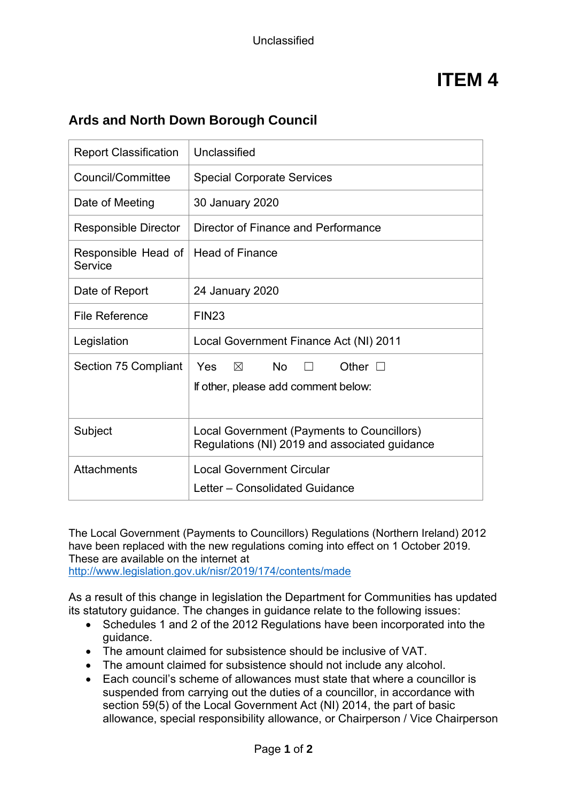## **ITEM 4**

#### **Ards and North Down Borough Council**

| <b>Report Classification</b>   | Unclassified                                                                                |
|--------------------------------|---------------------------------------------------------------------------------------------|
| Council/Committee              | <b>Special Corporate Services</b>                                                           |
| Date of Meeting                | 30 January 2020                                                                             |
| <b>Responsible Director</b>    | Director of Finance and Performance                                                         |
| Responsible Head of<br>Service | <b>Head of Finance</b>                                                                      |
| Date of Report                 | 24 January 2020                                                                             |
| <b>File Reference</b>          | <b>FIN23</b>                                                                                |
| Legislation                    | Local Government Finance Act (NI) 2011                                                      |
| Section 75 Compliant           | <b>No</b><br>Other $\square$<br>Yes<br>$\times$<br>If other, please add comment below:      |
| Subject                        | Local Government (Payments to Councillors)<br>Regulations (NI) 2019 and associated guidance |
| <b>Attachments</b>             | <b>Local Government Circular</b><br>Letter - Consolidated Guidance                          |

The Local Government (Payments to Councillors) Regulations (Northern Ireland) 2012 have been replaced with the new regulations coming into effect on 1 October 2019. These are available on the internet at <http://www.legislation.gov.uk/nisr/2019/174/contents/made>

As a result of this change in legislation the Department for Communities has updated its statutory guidance. The changes in guidance relate to the following issues:

- Schedules 1 and 2 of the 2012 Regulations have been incorporated into the guidance.
- The amount claimed for subsistence should be inclusive of VAT.
- The amount claimed for subsistence should not include any alcohol.
- Each council's scheme of allowances must state that where a councillor is suspended from carrying out the duties of a councillor, in accordance with section 59(5) of the Local Government Act (NI) 2014, the part of basic allowance, special responsibility allowance, or Chairperson / Vice Chairperson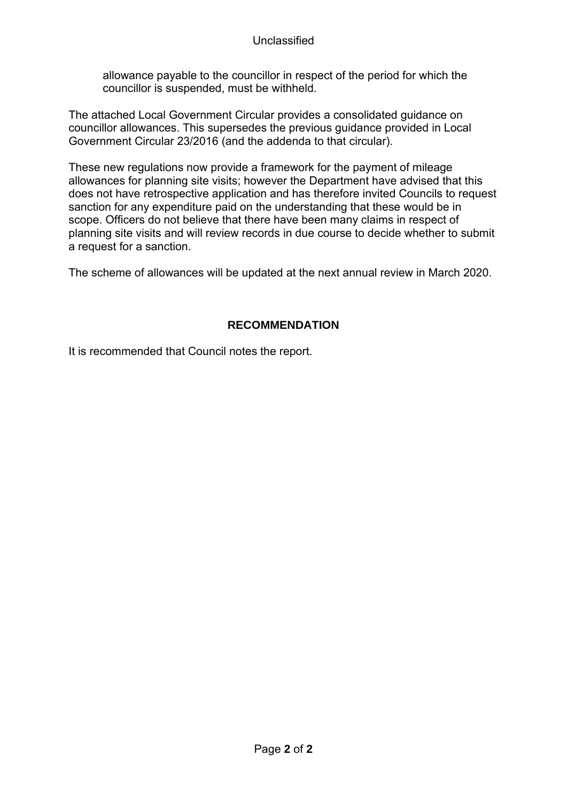#### Unclassified

allowance payable to the councillor in respect of the period for which the councillor is suspended, must be withheld.

The attached Local Government Circular provides a consolidated guidance on councillor allowances. This supersedes the previous guidance provided in Local Government Circular 23/2016 (and the addenda to that circular).

These new regulations now provide a framework for the payment of mileage allowances for planning site visits; however the Department have advised that this does not have retrospective application and has therefore invited Councils to request sanction for any expenditure paid on the understanding that these would be in scope. Officers do not believe that there have been many claims in respect of planning site visits and will review records in due course to decide whether to submit a request for a sanction.

The scheme of allowances will be updated at the next annual review in March 2020.

#### **RECOMMENDATION**

It is recommended that Council notes the report.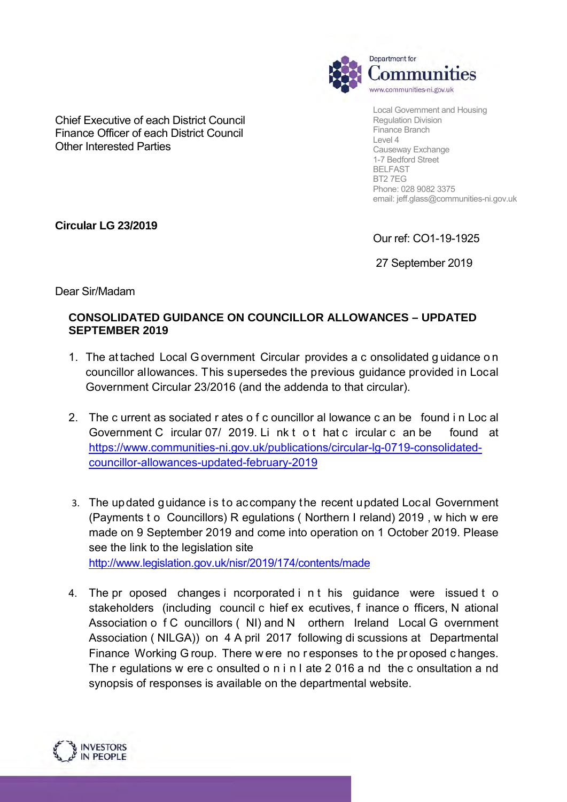

Local Government and Housing Regulation Division Finance Branch Level 4 Causeway Exchange 1-7 Bedford Street BELFAST BT2 7EG Phone: 028 9082 3375 email: jeff.glass@communities-ni.gov.uk

Chief Executive of each District Council Finance Officer of each District Council Other Interested Parties

**Circular LG 23/2019**

Our ref: CO1-19-1925

27 September 2019

Dear Sir/Madam

#### **CONSOLIDATED GUIDANCE ON COUNCILLOR ALLOWANCES – UPDATED SEPTEMBER 2019**

- 1. The at tached Local G overnment Circular provides a c onsolidated g uidance o n councillor allowances. This supersedes the previous guidance provided in Local Government Circular 23/2016 (and the addenda to that circular).
- 2. The c urrent as sociated r ates o f c ouncillor al lowance c an be found i n Loc al Government C ircular 07/ 2019. Li nk t o t hat c ircular c an be found at [https://www.communities-ni.gov.uk/publications/circular-lg-0719-consolidated](https://www.communities-ni.gov.uk/publications/circular-lg-0719-consolidated-councillor-allowances-updated-february-2019)[councillor-allowances-updated-february-2019](https://www.communities-ni.gov.uk/publications/circular-lg-0719-consolidated-councillor-allowances-updated-february-2019)
- 3. The updated guidance is to accompany the recent updated Local Government (Payments t o Councillors) R egulations ( Northern I reland) 2019 , w hich w ere made on 9 September 2019 and come into operation on 1 October 2019. Please see the link to the legislation site <http://www.legislation.gov.uk/nisr/2019/174/contents/made>
- 4. The pr oposed changes i ncorporated i n t his guidance were issued t o stakeholders (including council c hief ex ecutives, f inance o fficers, N ational Association o f C ouncillors (NI) and N orthern Ireland Local G overnment Association ( NILGA)) on 4 A pril 2017 following di scussions at Departmental Finance Working G roup. There w ere no r esponses to t he pr oposed c hanges. The r egulations w ere c onsulted o n i n l ate 2 016 a nd the c onsultation a nd synopsis of responses is available on the departmental website.

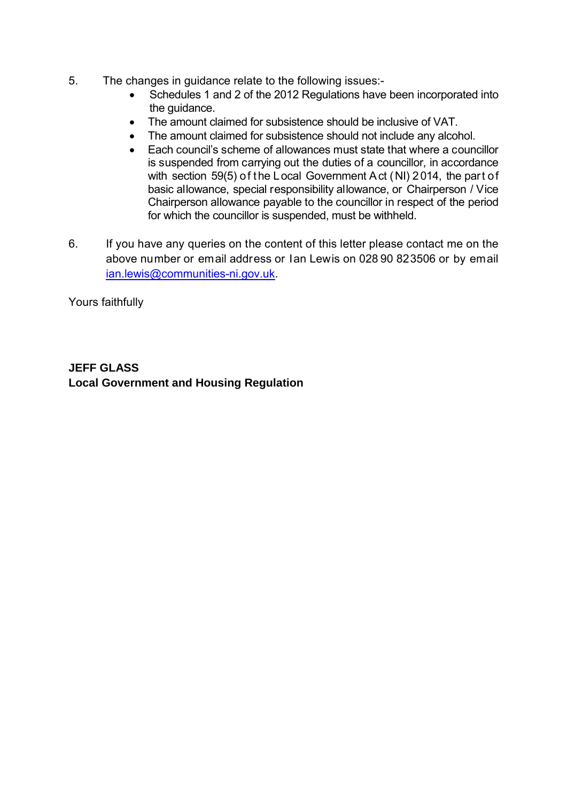- 5. The changes in guidance relate to the following issues:-
	- Schedules 1 and 2 of the 2012 Regulations have been incorporated into the guidance.
	- The amount claimed for subsistence should be inclusive of VAT.
	- The amount claimed for subsistence should not include any alcohol.
	- Each council's scheme of allowances must state that where a councillor is suspended from carrying out the duties of a councillor, in accordance with section 59(5) of the Local Government Act (NI) 2014, the part of basic allowance, special responsibility allowance, or Chairperson / Vice Chairperson allowance payable to the councillor in respect of the period for which the councillor is suspended, must be withheld.
- 6. If you have any queries on the content of this letter please contact me on the above number or email address or Ian Lewis on 028 90 823506 or by email [ian.lewis@communities-ni.gov.uk.](mailto:ian.lewis@communities-ni.gov.uk)

Yours faithfully

#### **JEFF GLASS Local Government and Housing Regulation**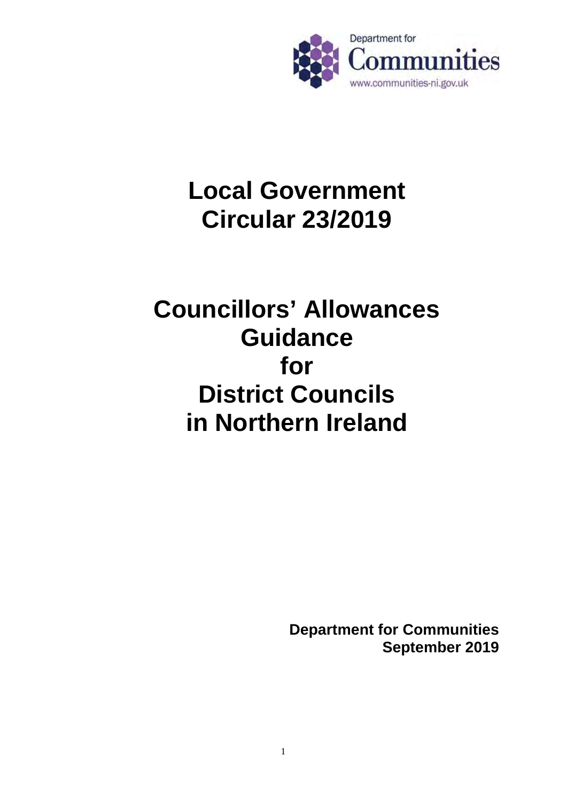

# **Local Government Circular 23/2019**

# **Councillors' Allowances Guidance for District Councils in Northern Ireland**

**Department for Communities September 2019**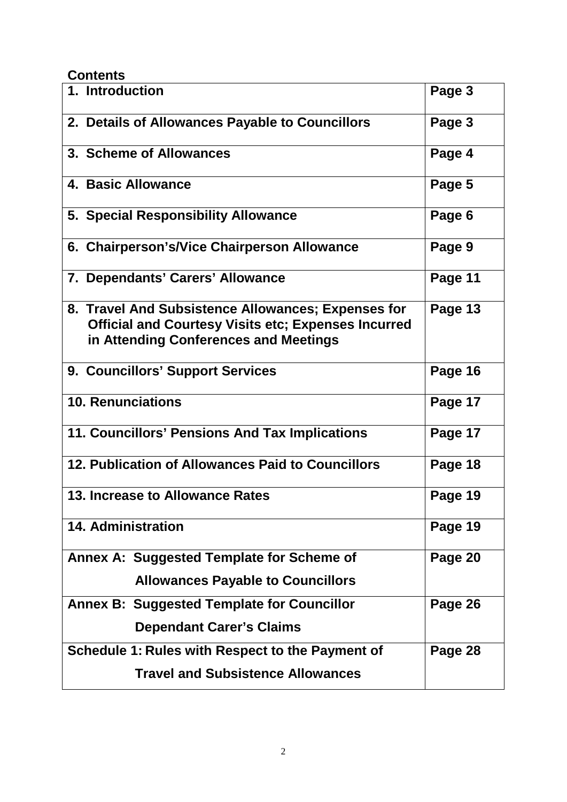#### **Contents**

| 1. Introduction                                                                                                                                           | Page 3  |
|-----------------------------------------------------------------------------------------------------------------------------------------------------------|---------|
| 2. Details of Allowances Payable to Councillors                                                                                                           | Page 3  |
| 3. Scheme of Allowances                                                                                                                                   | Page 4  |
| <b>4. Basic Allowance</b>                                                                                                                                 | Page 5  |
| 5. Special Responsibility Allowance                                                                                                                       | Page 6  |
| 6. Chairperson's/Vice Chairperson Allowance                                                                                                               | Page 9  |
| 7. Dependants' Carers' Allowance                                                                                                                          | Page 11 |
| 8. Travel And Subsistence Allowances; Expenses for<br><b>Official and Courtesy Visits etc; Expenses Incurred</b><br>in Attending Conferences and Meetings | Page 13 |
| 9. Councillors' Support Services                                                                                                                          | Page 16 |
| <b>10. Renunciations</b>                                                                                                                                  | Page 17 |
| 11. Councillors' Pensions And Tax Implications                                                                                                            | Page 17 |
| 12. Publication of Allowances Paid to Councillors                                                                                                         | Page 18 |
| 13. Increase to Allowance Rates                                                                                                                           | Page 19 |
| <b>14. Administration</b>                                                                                                                                 | Page 19 |
| Annex A: Suggested Template for Scheme of                                                                                                                 | Page 20 |
| <b>Allowances Payable to Councillors</b>                                                                                                                  |         |
| <b>Annex B: Suggested Template for Councillor</b>                                                                                                         | Page 26 |
| <b>Dependant Carer's Claims</b>                                                                                                                           |         |
| Schedule 1: Rules with Respect to the Payment of                                                                                                          | Page 28 |
| <b>Travel and Subsistence Allowances</b>                                                                                                                  |         |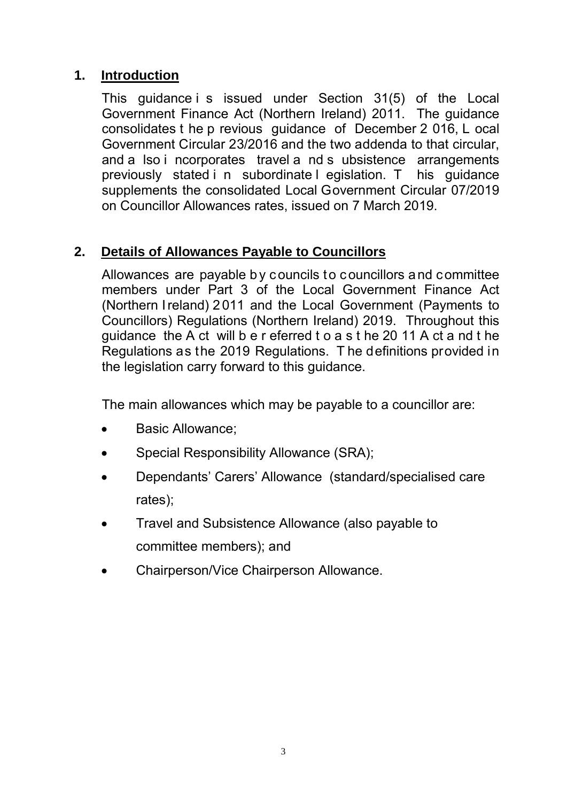## **1. Introduction**

This guidance i s issued under Section 31(5) of the Local Government Finance Act (Northern Ireland) 2011. The guidance consolidates t he p revious guidance of December 2 016, L ocal Government Circular 23/2016 and the two addenda to that circular, and a lso i ncorporates travel a nd s ubsistence arrangements previously stated i n subordinate l egislation. T his guidance supplements the consolidated Local Government Circular 07/2019 on Councillor Allowances rates, issued on 7 March 2019.

#### **2. Details of Allowances Payable to Councillors**

 Allowances are payable b y councils to councillors and committee members under Part 3 of the Local Government Finance Act (Northern I reland) 2 011 and the Local Government (Payments to Councillors) Regulations (Northern Ireland) 2019. Throughout this guidance the A ct will b e r eferred t o a s t he 20 11 A ct a nd t he Regulations as the 2019 Regulations. T he definitions provided in the legislation carry forward to this guidance.

The main allowances which may be payable to a councillor are:

- Basic Allowance;
- Special Responsibility Allowance (SRA);
- Dependants' Carers' Allowance (standard/specialised care rates);
- Travel and Subsistence Allowance (also payable to committee members); and
- Chairperson/Vice Chairperson Allowance.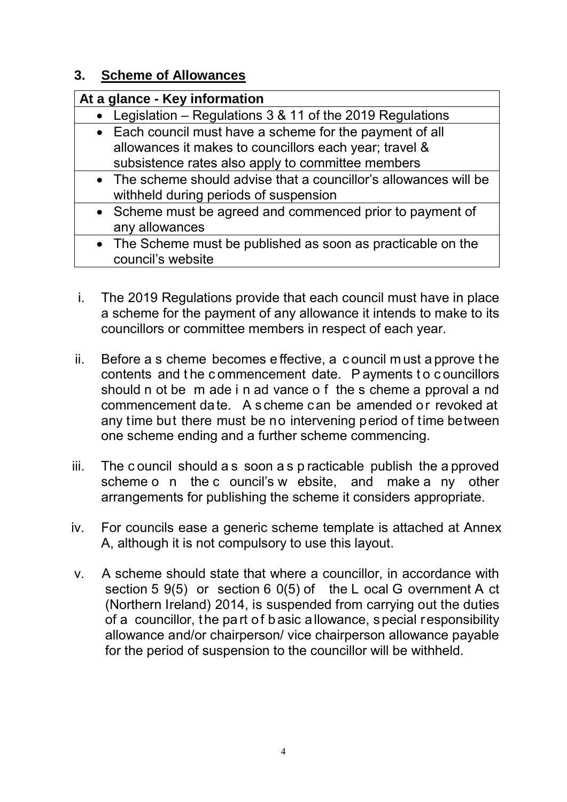#### **3. Scheme of Allowances**

| At a glance - Key information                                                                                                                                           |  |
|-------------------------------------------------------------------------------------------------------------------------------------------------------------------------|--|
| • Legislation – Regulations $3 & 11$ of the 2019 Regulations                                                                                                            |  |
| • Each council must have a scheme for the payment of all<br>allowances it makes to councillors each year; travel &<br>subsistence rates also apply to committee members |  |
| • The scheme should advise that a councillor's allowances will be<br>withheld during periods of suspension                                                              |  |
| • Scheme must be agreed and commenced prior to payment of<br>any allowances                                                                                             |  |
| • The Scheme must be published as soon as practicable on the<br>council's website                                                                                       |  |

- i. The 2019 Regulations provide that each council must have in place a scheme for the payment of any allowance it intends to make to its councillors or committee members in respect of each year.
- ii. Before a s cheme becomes e ffective, a c ouncil m ust a pprove t he contents and the commencement date. P ayments to councillors should n ot be m ade i n ad vance o f the s cheme a pproval a nd commencement date. A scheme can be amended or revoked at any time but there must be no intervening period of time between one scheme ending and a further scheme commencing.
- iii. The c ouncil should a s soon a s p racticable publish the a pproved scheme o n the c ouncil's w ebsite, and make a ny other arrangements for publishing the scheme it considers appropriate.
- iv. For councils ease a generic scheme template is attached at Annex A, although it is not compulsory to use this layout.
- v. A scheme should state that where a councillor, in accordance with section 5 9(5) or section 6 0(5) of the L ocal G overnment A ct (Northern Ireland) 2014, is suspended from carrying out the duties of a councillor, the pa rt of b asic a llowance, s pecial responsibility allowance and/or chairperson/ vice chairperson allowance payable for the period of suspension to the councillor will be withheld.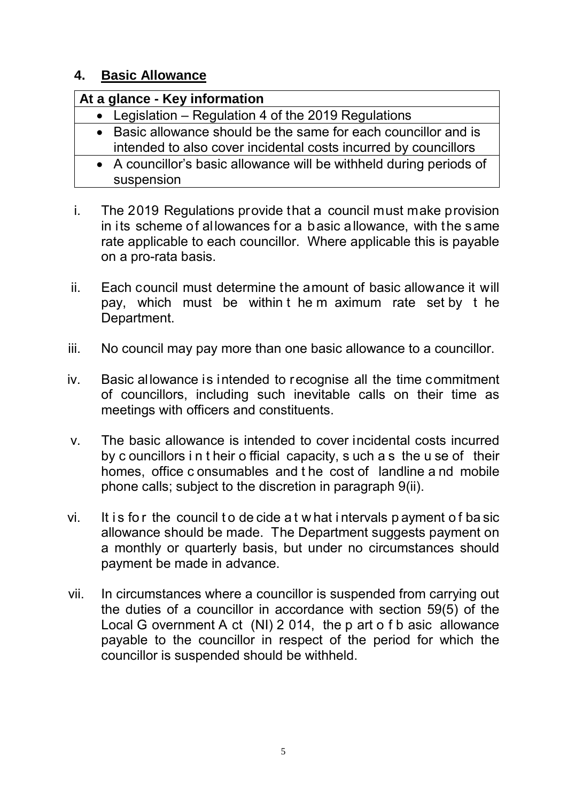#### **4. Basic Allowance**

| At a glance - Key information                                                                                                      |  |
|------------------------------------------------------------------------------------------------------------------------------------|--|
| • Legislation – Regulation 4 of the 2019 Regulations                                                                               |  |
| • Basic allowance should be the same for each councillor and is<br>intended to also cover incidental costs incurred by councillors |  |
| • A councillor's basic allowance will be withheld during periods of<br>suspension                                                  |  |

- i. The 2019 Regulations provide that a council must make provision in its scheme of allowances for a basic allowance, with the same rate applicable to each councillor. Where applicable this is payable on a pro-rata basis.
- ii. Each council must determine the amount of basic allowance it will pay, which must be within t he m aximum rate set by t he Department.
- iii. No council may pay more than one basic allowance to a councillor.
- iv. Basic allowance is intended to recognise all the time commitment of councillors, including such inevitable calls on their time as meetings with officers and constituents.
- v. The basic allowance is intended to cover incidental costs incurred by c ouncillors i n t heir o fficial capacity, s uch a s the u se of their homes, office c onsumables and t he cost of landline a nd mobile phone calls; subject to the discretion in paragraph 9(ii).
- vi. It is for the council to de cide a t w hat intervals p ayment of ba sic allowance should be made. The Department suggests payment on a monthly or quarterly basis, but under no circumstances should payment be made in advance.
- vii. In circumstances where a councillor is suspended from carrying out the duties of a councillor in accordance with section 59(5) of the Local G overnment A ct (NI) 2 014, the p art o f b asic allowance payable to the councillor in respect of the period for which the councillor is suspended should be withheld.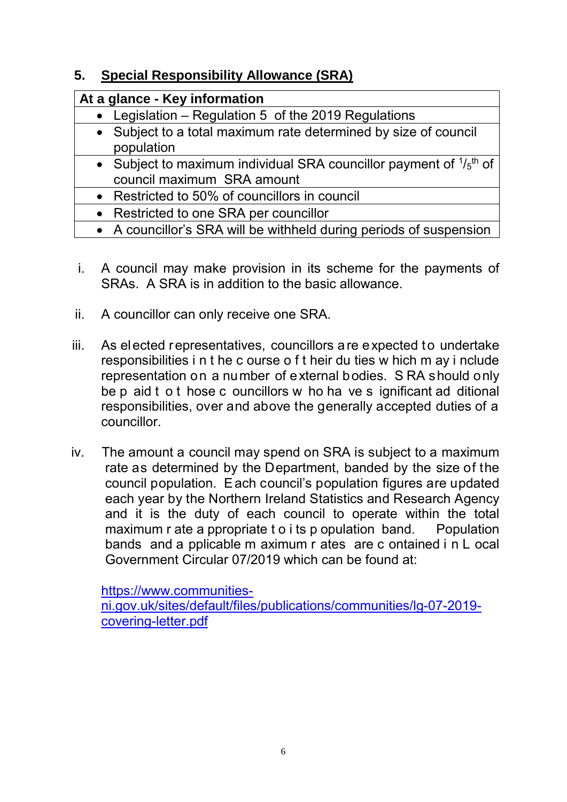## **5. Special Responsibility Allowance (SRA)**

| At a glance - Key information                                                                                  |  |
|----------------------------------------------------------------------------------------------------------------|--|
| • Legislation – Regulation 5 of the 2019 Regulations                                                           |  |
| • Subject to a total maximum rate determined by size of council<br>population                                  |  |
| • Subject to maximum individual SRA councillor payment of $1/5$ <sup>th</sup> of<br>council maximum SRA amount |  |
| • Restricted to 50% of councillors in council                                                                  |  |
| • Restricted to one SRA per councillor                                                                         |  |
| • A councillor's SRA will be withheld during periods of suspension                                             |  |

- i. A council may make provision in its scheme for the payments of SRAs. A SRA is in addition to the basic allowance.
- ii. A councillor can only receive one SRA.
- iii. As elected representatives, councillors are expected to undertake responsibilities i n t he c ourse o f t heir du ties w hich m ay i nclude representation on a number of external bodies. S RA should only be p aid t o t hose c ouncillors w ho ha ve s ignificant ad ditional responsibilities, over and above the generally accepted duties of a councillor.
- iv. The amount a council may spend on SRA is subject to a maximum rate as determined by the Department, banded by the size of the council population. Each council's population figures are updated each year by the Northern Ireland Statistics and Research Agency and it is the duty of each council to operate within the total maximum r ate a ppropriate t o i ts p opulation band. Population bands and a pplicable m aximum r ates are c ontained i n L ocal Government Circular 07/2019 which can be found at:

[https://www.communities-](https://www.communities-ni.gov.uk/sites/default/files/publications/communities/lg-07-2019-covering-letter.pdf)

[ni.gov.uk/sites/default/files/publications/communities/lg-07-2019](https://www.communities-ni.gov.uk/sites/default/files/publications/communities/lg-07-2019-covering-letter.pdf) [covering-letter.pdf](https://www.communities-ni.gov.uk/sites/default/files/publications/communities/lg-07-2019-covering-letter.pdf)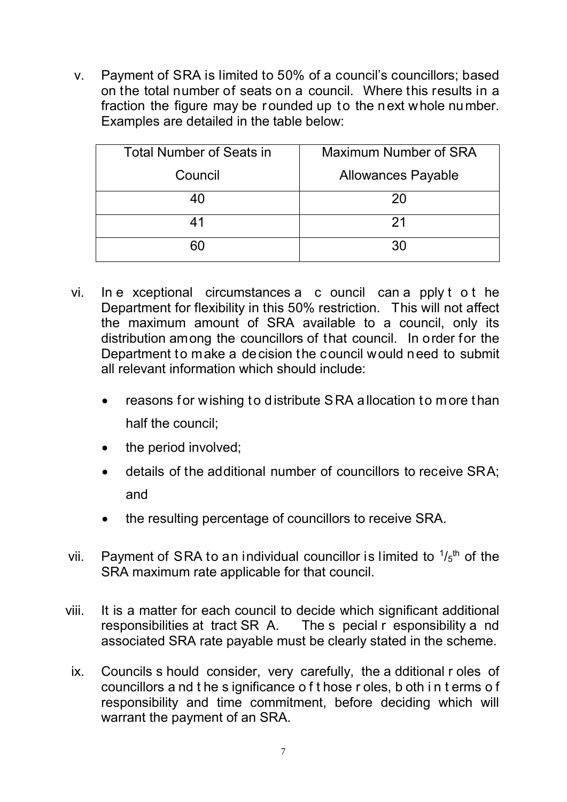v. Payment of SRA is limited to 50% of a council's councillors; based on the total number of seats on a council. Where this results in a fraction the figure may be rounded up to the next whole number. Examples are detailed in the table below:

| <b>Total Number of Seats in</b> | Maximum Number of SRA     |
|---------------------------------|---------------------------|
| Council                         | <b>Allowances Payable</b> |
| 40                              | 20                        |
| 41                              | 21                        |
| 60                              | 30                        |

- vi. In e xceptional circumstances a c ouncil can a pply t o t he Department for flexibility in this 50% restriction. This will not affect the maximum amount of SRA available to a council, only its distribution among the councillors of that council. In order for the Department to make a decision the council would need to submit all relevant information which should include:
	- reasons for wishing to distribute SRA allocation to more than half the council;
	- the period involved;
	- details of the additional number of councillors to receive SRA; and
	- the resulting percentage of councillors to receive SRA.
- vii. Payment of SRA to an individual councillor is limited to  $1/5<sup>th</sup>$  of the SRA maximum rate applicable for that council.
- viii. It is a matter for each council to decide which significant additional responsibilities at tract SR A. The s pecial r esponsibility a nd associated SRA rate payable must be clearly stated in the scheme.
	- ix. Councils s hould consider, very carefully, the a dditional r oles of councillors a nd t he s ignificance o f t hose r oles, b oth i n t erms o f responsibility and time commitment, before deciding which will warrant the payment of an SRA.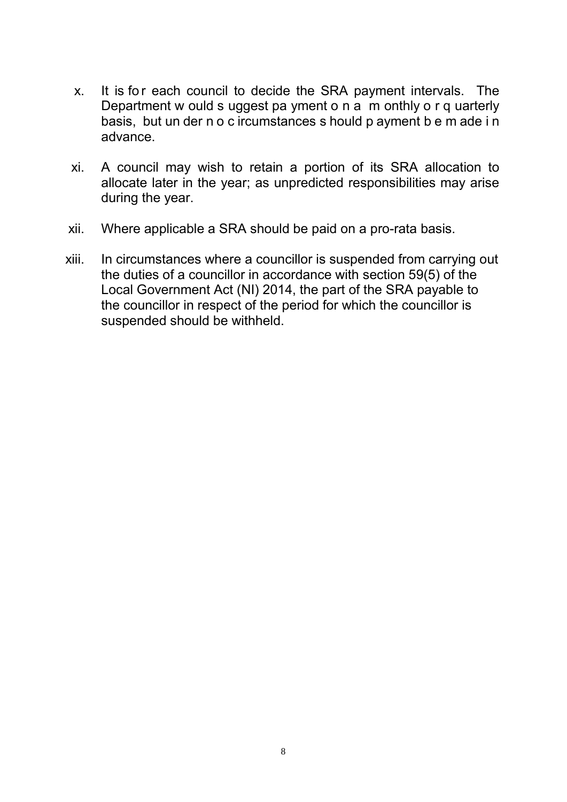- x. It is for each council to decide the SRA payment intervals. The Department w ould s uggest pa yment o n a m onthly o r q uarterly basis, but un der n o c ircumstances s hould p ayment b e m ade i n advance.
- xi. A council may wish to retain a portion of its SRA allocation to allocate later in the year; as unpredicted responsibilities may arise during the year.
- xii. Where applicable a SRA should be paid on a pro-rata basis.
- xiii. In circumstances where a councillor is suspended from carrying out the duties of a councillor in accordance with section 59(5) of the Local Government Act (NI) 2014, the part of the SRA payable to the councillor in respect of the period for which the councillor is suspended should be withheld.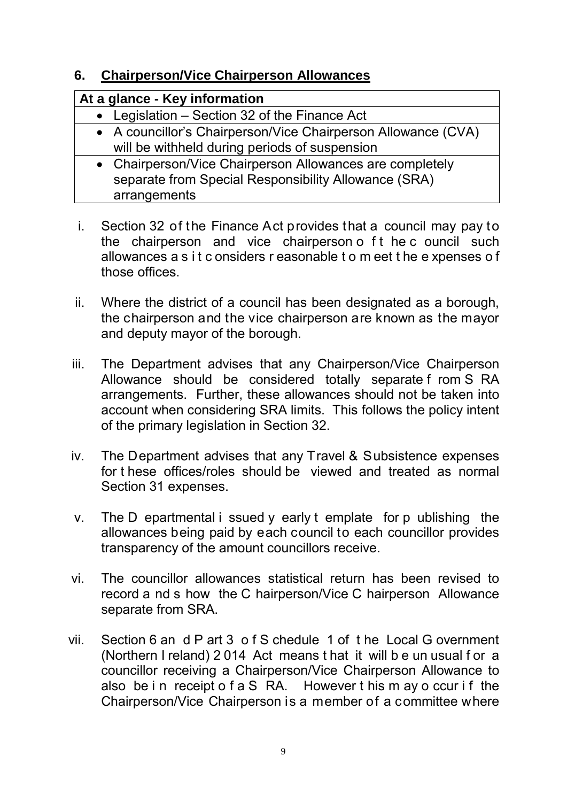#### **6. Chairperson/Vice Chairperson Allowances**

| At a glance - Key information                                                                                  |  |
|----------------------------------------------------------------------------------------------------------------|--|
| • Legislation – Section 32 of the Finance Act                                                                  |  |
| • A councillor's Chairperson/Vice Chairperson Allowance (CVA)<br>will be withheld during periods of suspension |  |
| $\mathcal{L}$                                                                                                  |  |

| • Chairperson/Vice Chairperson Allowances are completely |
|----------------------------------------------------------|
| separate from Special Responsibility Allowance (SRA)     |
| arrangements                                             |

- i. Section 32 of the Finance Act provides that a council may pay to the chairperson and vice chairperson o ft he c ouncil such allowances a s i t c onsiders r easonable t o m eet t he e xpenses o f those offices.
- ii. Where the district of a council has been designated as a borough, the chairperson and the vice chairperson are known as the mayor and deputy mayor of the borough.
- iii. The Department advises that any Chairperson/Vice Chairperson Allowance should be considered totally separate f rom S RA arrangements. Further, these allowances should not be taken into account when considering SRA limits. This follows the policy intent of the primary legislation in Section 32.
- iv. The Department advises that any Travel & Subsistence expenses for t hese offices/roles should be viewed and treated as normal Section 31 expenses.
- v. The D epartmental i ssued y early t emplate for p ublishing the allowances being paid by each council to each councillor provides transparency of the amount councillors receive.
- vi. The councillor allowances statistical return has been revised to record a nd s how the C hairperson/Vice C hairperson Allowance separate from SRA.
- vii. Section 6 an d P art 3 o f S chedule 1 of t he Local G overnment (Northern I reland) 2 014 Act means t hat it will b e un usual f or a councillor receiving a Chairperson/Vice Chairperson Allowance to also be in receipt o f a S RA. However this m ay o ccur if the Chairperson/Vice Chairperson is a member of a committee where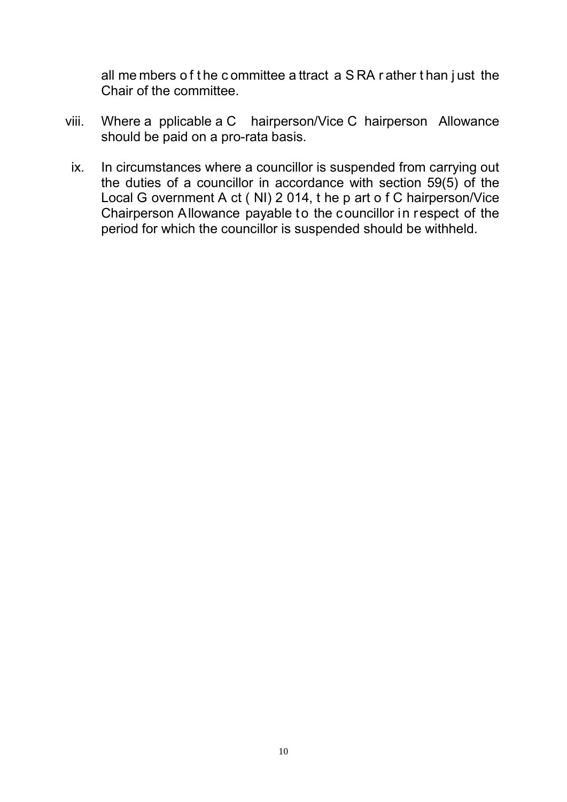all me mbers o f t he c ommittee a ttract a S RA r ather t han j ust the Chair of the committee.

- viii. Where a pplicable a C hairperson/Vice C hairperson Allowance should be paid on a pro-rata basis.
- ix. In circumstances where a councillor is suspended from carrying out the duties of a councillor in accordance with section 59(5) of the Local G overnment A ct ( NI) 2 014, t he p art o f C hairperson/Vice Chairperson Allowance payable to the councillor in respect of the period for which the councillor is suspended should be withheld.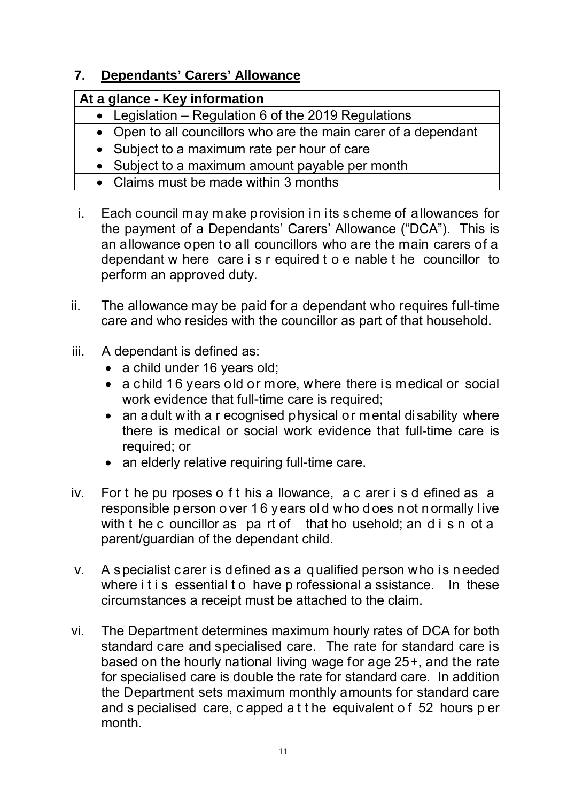## **7. Dependants' Carers' Allowance**

| At a glance - Key information                                   |  |
|-----------------------------------------------------------------|--|
| • Legislation – Regulation 6 of the 2019 Regulations            |  |
| • Open to all councillors who are the main carer of a dependant |  |
| • Subject to a maximum rate per hour of care                    |  |
| • Subject to a maximum amount payable per month                 |  |
| • Claims must be made within 3 months                           |  |

- i. Each council may make provision in its scheme of allowances for the payment of a Dependants' Carers' Allowance ("DCA"). This is an allowance open to all councillors who are the main carers of a dependant w here care i s r equired t o e nable t he councillor to perform an approved duty.
- ii. The allowance may be paid for a dependant who requires full-time care and who resides with the councillor as part of that household.
- iii. A dependant is defined as:
	- a child under 16 years old;
	- a child 16 years old or more, where there is medical or social work evidence that full-time care is required;
	- an adult with a r ecognised physical or mental disability where there is medical or social work evidence that full-time care is required; or
	- an elderly relative requiring full-time care.
- iv. For t he pu rposes o f t his a llowance, a c arer i s d efined as a responsible p erson o ver 1 6 years ol d who d oes n ot n ormally l ive with t he c ouncillor as pa rt of that ho usehold; an d i s n ot a parent/guardian of the dependant child.
- v. A specialist carer is defined as a qualified person who is needed where it is essential to have p rofessional a ssistance. In these circumstances a receipt must be attached to the claim.
- vi. The Department determines maximum hourly rates of DCA for both standard care and specialised care. The rate for standard care is based on the hourly national living wage for age 25+, and the rate for specialised care is double the rate for standard care. In addition the Department sets maximum monthly amounts for standard care and s pecialised care, c apped a t t he equivalent o f 52 hours p er month.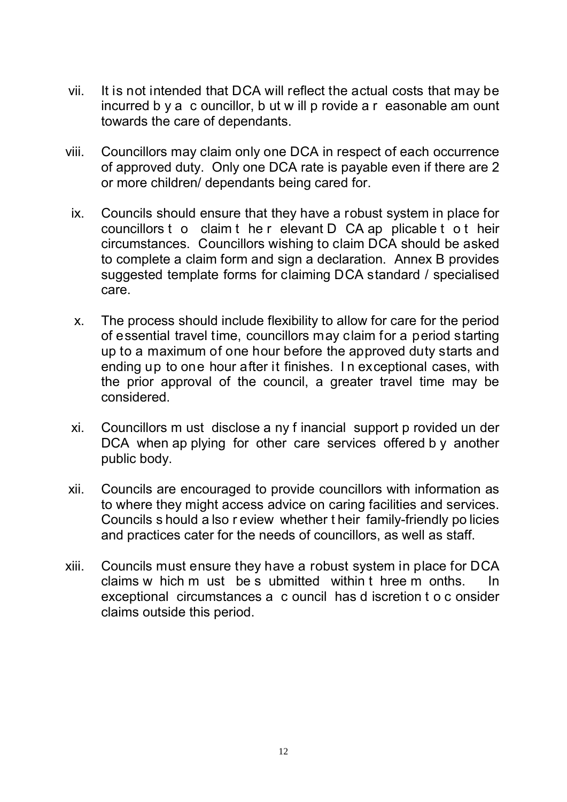- vii. It is not intended that DCA will reflect the actual costs that may be incurred b y a c ouncillor, b ut w ill p rovide a r easonable am ount towards the care of dependants.
- viii. Councillors may claim only one DCA in respect of each occurrence of approved duty. Only one DCA rate is payable even if there are 2 or more children/ dependants being cared for.
	- ix. Councils should ensure that they have a robust system in place for councillors t o claim t he r elevant D CA ap plicable t o t heir circumstances. Councillors wishing to claim DCA should be asked to complete a claim form and sign a declaration. Annex B provides suggested template forms for claiming DCA standard / specialised care.
	- x. The process should include flexibility to allow for care for the period of essential travel time, councillors may claim for a period starting up to a maximum of one hour before the approved duty starts and ending up to one hour after it finishes. I n exceptional cases, with the prior approval of the council, a greater travel time may be considered.
	- xi. Councillors m ust disclose a ny f inancial support p rovided un der DCA when ap plying for other care services offered by another public body.
- xii. Councils are encouraged to provide councillors with information as to where they might access advice on caring facilities and services. Councils s hould a lso r eview whether t heir family-friendly po licies and practices cater for the needs of councillors, as well as staff.
- xiii. Councils must ensure they have a robust system in place for DCA claims w hich m ust be s ubmitted within t hree m onths. In exceptional circumstances a c ouncil has d iscretion t o c onsider claims outside this period.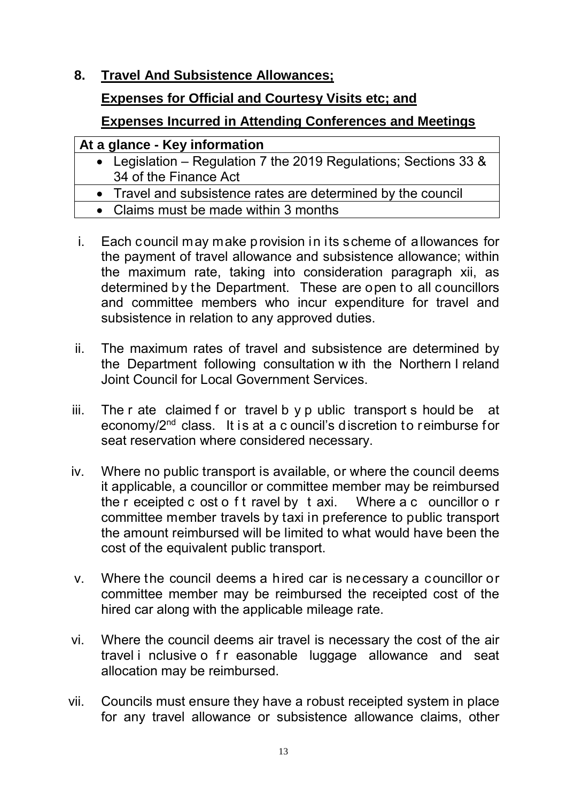**8. Travel And Subsistence Allowances;** 

#### **Expenses for Official and Courtesy Visits etc; and**

#### **Expenses Incurred in Attending Conferences and Meetings**

#### **At a glance - Key information**

- Legislation Regulation 7 the 2019 Regulations; Sections 33 & 34 of the Finance Act
- Travel and subsistence rates are determined by the council
- Claims must be made within 3 months
- i. Each council may make provision in its scheme of allowances for the payment of travel allowance and subsistence allowance; within the maximum rate, taking into consideration paragraph xii, as determined by the Department. These are open to all councillors and committee members who incur expenditure for travel and subsistence in relation to any approved duties.
- ii. The maximum rates of travel and subsistence are determined by the Department following consultation w ith the Northern I reland Joint Council for Local Government Services.
- iii. The r ate claimed f or travel b y p ublic transport s hould be at economy/2nd class. It is at a c ouncil's discretion to reimburse for seat reservation where considered necessary.
- iv. Where no public transport is available, or where the council deems it applicable, a councillor or committee member may be reimbursed the r eceipted c ost o f t ravel by t axi. Where a c ouncillor o r committee member travels by taxi in preference to public transport the amount reimbursed will be limited to what would have been the cost of the equivalent public transport.
- v. Where the council deems a hired car is necessary a councillor or committee member may be reimbursed the receipted cost of the hired car along with the applicable mileage rate.
- vi. Where the council deems air travel is necessary the cost of the air travel i nclusive o f r easonable luggage allowance and seat allocation may be reimbursed.
- vii. Councils must ensure they have a robust receipted system in place for any travel allowance or subsistence allowance claims, other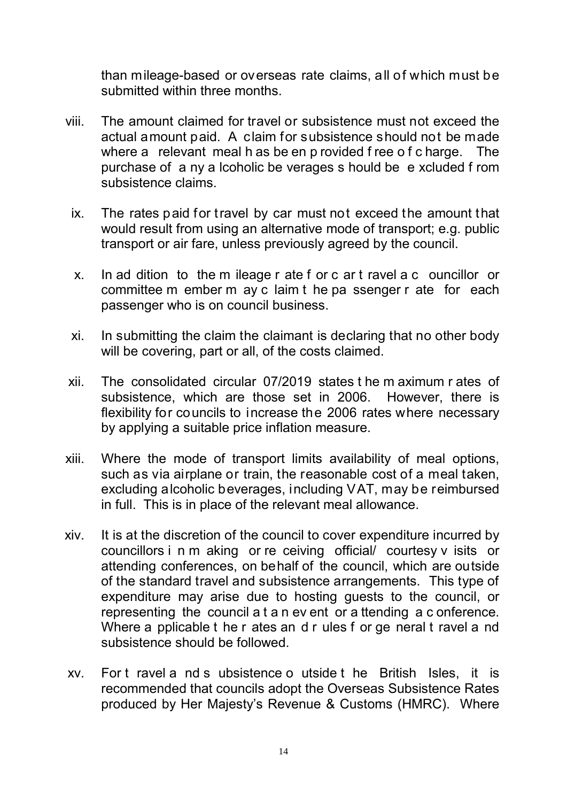than mileage-based or overseas rate claims, all of which must be submitted within three months.

- viii. The amount claimed for travel or subsistence must not exceed the actual amount paid. A claim for subsistence should not be made where a relevant meal h as be en p rovided f ree o f c harge. The purchase of a ny a lcoholic be verages s hould be e xcluded f rom subsistence claims.
	- ix. The rates paid for travel by car must not exceed the amount that would result from using an alternative mode of transport; e.g. public transport or air fare, unless previously agreed by the council.
	- x. In ad dition to the m ileage r ate f or c ar t ravel a c ouncillor or committee m ember m ay c laim t he pa ssenger r ate for each passenger who is on council business.
	- xi. In submitting the claim the claimant is declaring that no other body will be covering, part or all, of the costs claimed.
- xii. The consolidated circular 07/2019 states t he m aximum r ates of subsistence, which are those set in 2006. However, there is flexibility for councils to increase the 2006 rates where necessary by applying a suitable price inflation measure.
- xiii. Where the mode of transport limits availability of meal options, such as via airplane or train, the reasonable cost of a meal taken, excluding alcoholic beverages, including VAT, may be reimbursed in full. This is in place of the relevant meal allowance.
- xiv. It is at the discretion of the council to cover expenditure incurred by councillors i n m aking or re ceiving official/ courtesy v isits or attending conferences, on behalf of the council, which are outside of the standard travel and subsistence arrangements. This type of expenditure may arise due to hosting guests to the council, or representing the council a t a n ev ent or a ttending a c onference. Where a pplicable t he r ates an d r ules f or ge neral t ravel a nd subsistence should be followed.
- xv. For t ravel a nd s ubsistence o utside t he British Isles, it is recommended that councils adopt the Overseas Subsistence Rates produced by Her Majesty's Revenue & Customs (HMRC). Where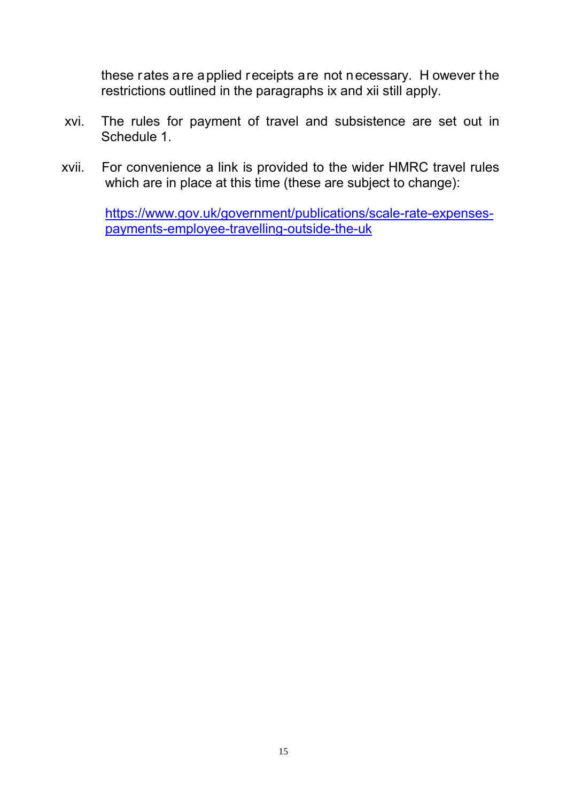these rates are applied receipts are not necessary. H owever the restrictions outlined in the paragraphs ix and xii still apply.

- xvi. The rules for payment of travel and subsistence are set out in Schedule 1.
- xvii. For convenience a link is provided to the wider HMRC travel rules which are in place at this time (these are subject to change):

[https://www.gov.uk/government/publications/scale-rate-expenses](https://www.gov.uk/government/publications/scale-rate-expenses-payments-employee-travelling-outside-the-uk)[payments-employee-travelling-outside-the-uk](https://www.gov.uk/government/publications/scale-rate-expenses-payments-employee-travelling-outside-the-uk)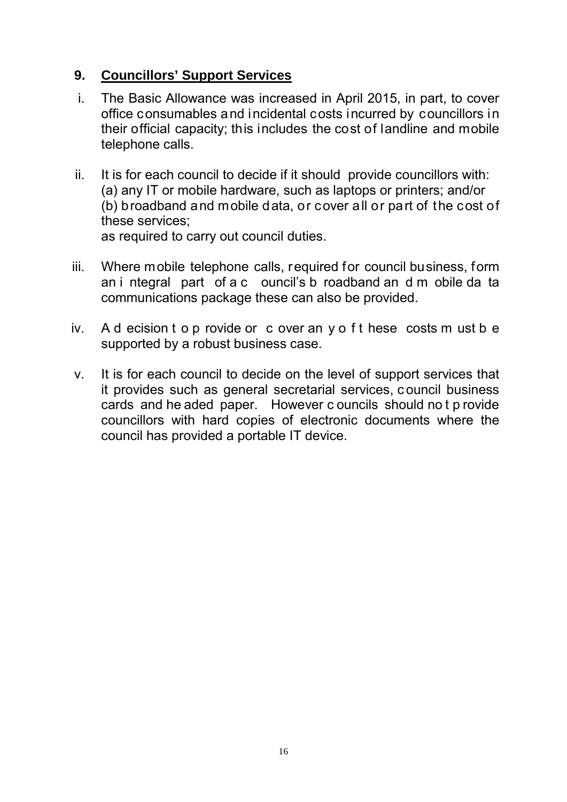#### **9. Councillors' Support Services**

- i. The Basic Allowance was increased in April 2015, in part, to cover office consumables and incidental costs incurred by councillors in their official capacity; this includes the cost of landline and mobile telephone calls.
- ii. It is for each council to decide if it should provide councillors with: (a) any IT or mobile hardware, such as laptops or printers; and/or (b) broadband and mobile data, or cover all or part of the cost of these services;

as required to carry out council duties.

- iii. Where mobile telephone calls, required for council business, form an i ntegral part of a c ouncil's b roadband an d m obile da ta communications package these can also be provided.
- iv. A d ecision t o p rovide or c over an y o f t hese costs m ust b e supported by a robust business case.
- v. It is for each council to decide on the level of support services that it provides such as general secretarial services, c ouncil business cards and he aded paper. However c ouncils should no t p rovide councillors with hard copies of electronic documents where the council has provided a portable IT device.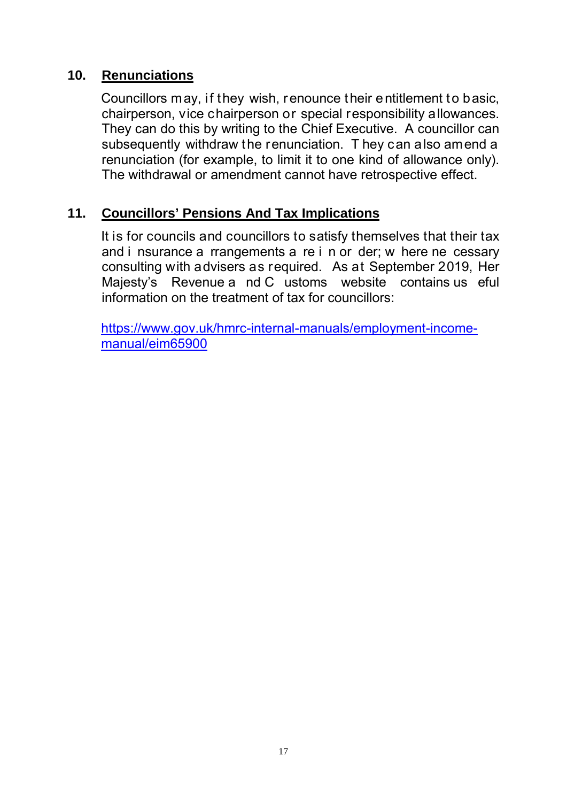#### **10. Renunciations**

Councillors may, if they wish, renounce their entitlement to basic, chairperson, vice chairperson or special responsibility allowances. They can do this by writing to the Chief Executive. A councillor can subsequently withdraw the renunciation. T hey can also amend a renunciation (for example, to limit it to one kind of allowance only). The withdrawal or amendment cannot have retrospective effect.

#### **11. Councillors' Pensions And Tax Implications**

It is for councils and councillors to satisfy themselves that their tax and i nsurance a rrangements a re i n or der; w here ne cessary consulting with advisers as required. As at September 2019, Her Majesty's Revenue a nd C ustoms website contains us eful information on the treatment of tax for councillors:

[https://www.gov.uk/hmrc-internal-manuals/employment-income](https://www.gov.uk/hmrc-internal-manuals/employment-income-manual/eim65900)[manual/eim65900](https://www.gov.uk/hmrc-internal-manuals/employment-income-manual/eim65900)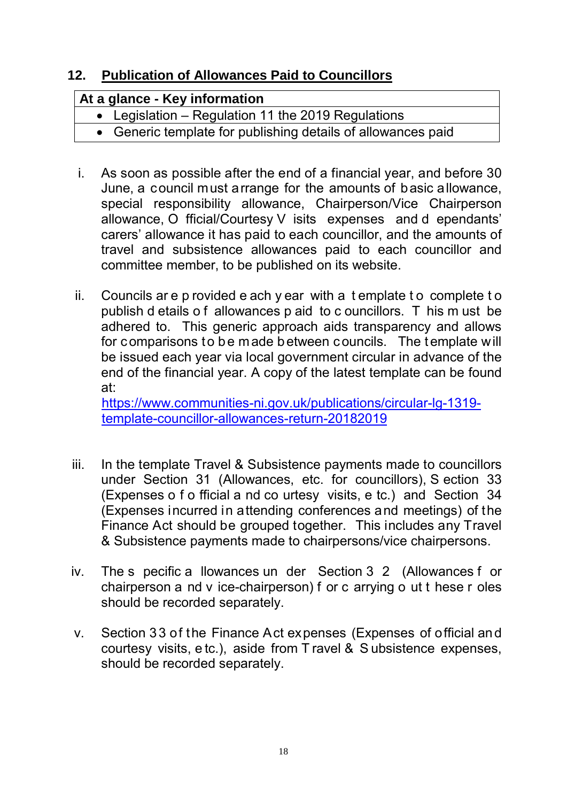## **12. Publication of Allowances Paid to Councillors**

| At a glance - Key information                                |  |
|--------------------------------------------------------------|--|
| • Legislation – Regulation 11 the 2019 Regulations           |  |
| • Generic template for publishing details of allowances paid |  |

- i. As soon as possible after the end of a financial year, and before 30 June, a council must arrange for the amounts of basic allowance, special responsibility allowance, Chairperson/Vice Chairperson allowance, O fficial/Courtesy V isits expenses and d ependants' carers' allowance it has paid to each councillor, and the amounts of travel and subsistence allowances paid to each councillor and committee member, to be published on its website.
- ii. Councils ar e p rovided e ach y ear with a t emplate t o complete t o publish d etails o f allowances p aid to c ouncillors. T his m ust be adhered to. This generic approach aids transparency and allows for comparisons to be made between councils. The template will be issued each year via local government circular in advance of the end of the financial year. A copy of the latest template can be found at:

[https://www.communities-ni.gov.uk/publications/circular-lg-1319](https://www.communities-ni.gov.uk/publications/circular-lg-1319-template-councillor-allowances-return-20182019) [template-councillor-allowances-return-20182019](https://www.communities-ni.gov.uk/publications/circular-lg-1319-template-councillor-allowances-return-20182019)

- iii. In the template Travel & Subsistence payments made to councillors under Section 31 (Allowances, etc. for councillors), S ection 33 (Expenses o f o fficial a nd co urtesy visits, e tc.) and Section 34 (Expenses incurred in attending conferences and meetings) of the Finance Act should be grouped together. This includes any Travel & Subsistence payments made to chairpersons/vice chairpersons.
- iv. The s pecific a llowances un der Section 3 2 (Allowances f or chairperson a nd v ice-chairperson) f or c arrying o ut t hese r oles should be recorded separately.
- v. Section 33 of the Finance Act expenses (Expenses of official and courtesy visits, e tc.), aside from T ravel & S ubsistence expenses, should be recorded separately.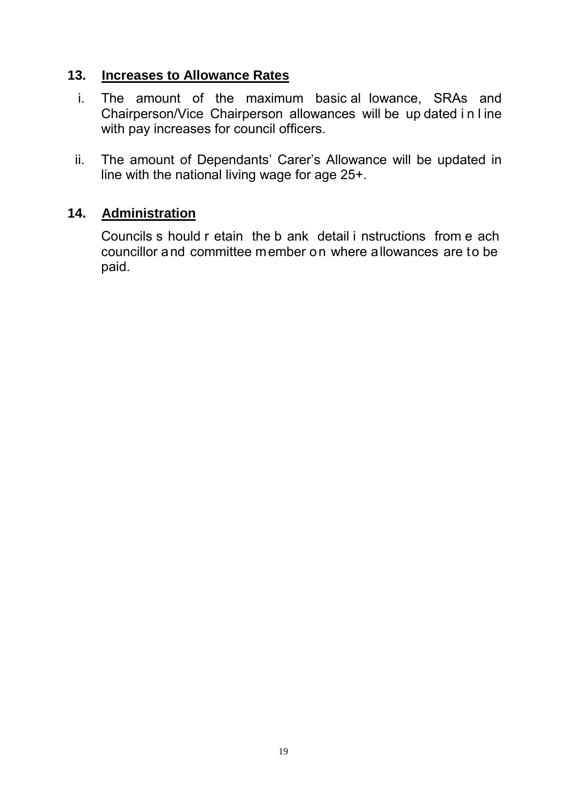#### **13. Increases to Allowance Rates**

- i. The amount of the maximum basic al lowance, SRAs and Chairperson/Vice Chairperson allowances will be up dated i n l ine with pay increases for council officers.
- ii. The amount of Dependants' Carer's Allowance will be updated in line with the national living wage for age 25+.

## **14. Administration**

Councils s hould r etain the b ank detail i nstructions from e ach councillor and committee member on where allowances are to be paid.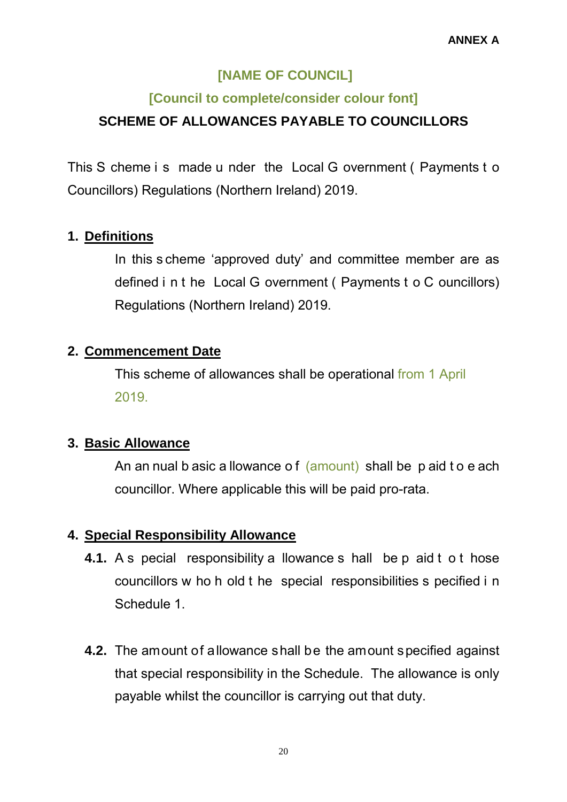## **[NAME OF COUNCIL]**

## **[Council to complete/consider colour font]**

## **SCHEME OF ALLOWANCES PAYABLE TO COUNCILLORS**

This S cheme i s made u nder the Local G overnment ( Payments t o Councillors) Regulations (Northern Ireland) 2019.

## **1. Definitions**

In this s cheme 'approved duty' and committee member are as defined i n t he Local G overnment ( Payments t o C ouncillors) Regulations (Northern Ireland) 2019.

## **2. Commencement Date**

This scheme of allowances shall be operational from 1 April 2019.

## **3. Basic Allowance**

An an nual b asic a llowance of (amount) shall be p aid t o e ach councillor. Where applicable this will be paid pro-rata.

## **4. Special Responsibility Allowance**

- **4.1.** A s pecial responsibility a llowance s hall be p aid t o t hose councillors w ho h old t he special responsibilities s pecified i n Schedule 1.
- **4.2.** The amount of allowance shall be the amount specified against that special responsibility in the Schedule. The allowance is only payable whilst the councillor is carrying out that duty.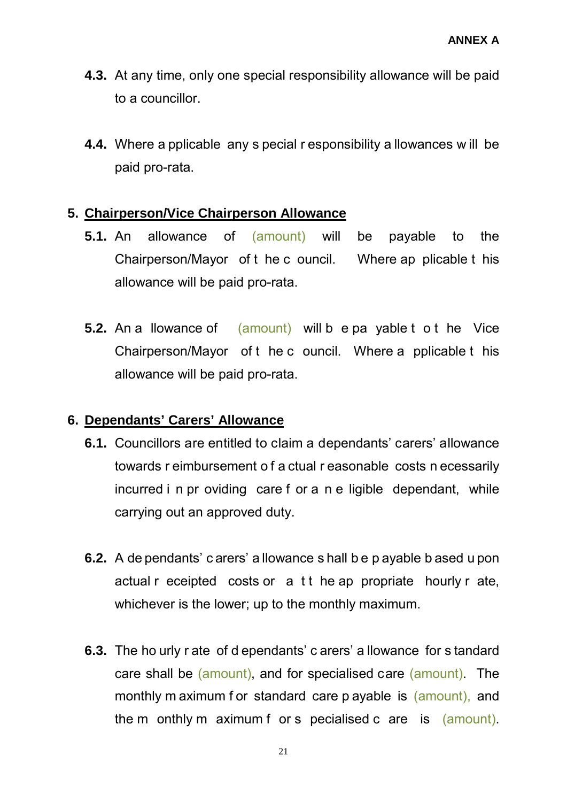- **4.3.** At any time, only one special responsibility allowance will be paid to a councillor.
- **4.4.** Where a pplicable any s pecial r esponsibility a llowances w ill be paid pro-rata.

#### **5. Chairperson/Vice Chairperson Allowance**

- **5.1.** An allowance of (amount) will be payable to the Chairperson/Mayor of t he c ouncil. Where ap plicable t his allowance will be paid pro-rata.
- **5.2.** An a llowance of (amount) will be payable to the Vice Chairperson/Mayor of t he c ouncil. Where a pplicable t his allowance will be paid pro-rata.

## **6. Dependants' Carers' Allowance**

- **6.1.** Councillors are entitled to claim a dependants' carers' allowance towards r eimbursement o f a ctual r easonable costs n ecessarily incurred i n pr oviding care f or a n e ligible dependant, while carrying out an approved duty.
- **6.2.** A de pendants' c arers' a llowance s hall b e p ayable b ased u pon actual r eceipted costs or a t t he ap propriate hourly r ate, whichever is the lower; up to the monthly maximum.
- **6.3.** The ho urly r ate of d ependants' c arers' a llowance for s tandard care shall be (amount), and for specialised care (amount). The monthly m aximum for standard care p ayable is (amount), and the m onthly m aximum f or s pecialised c are is (amount).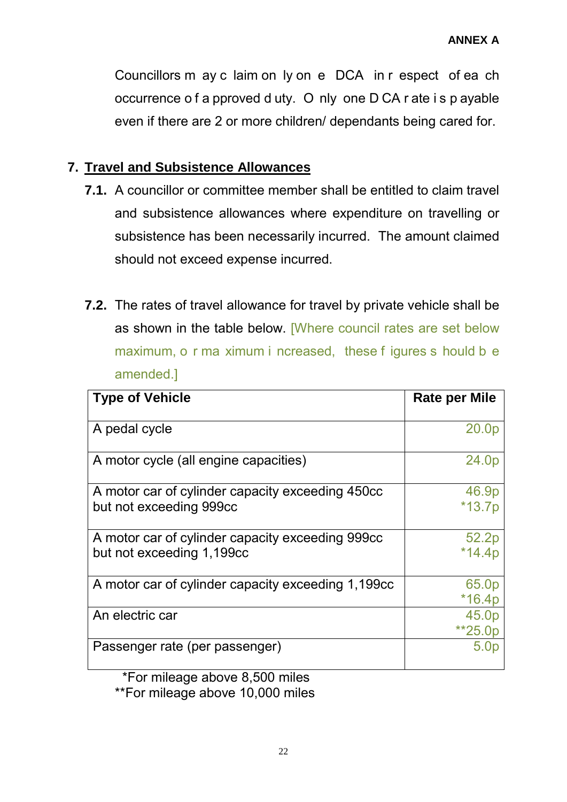Councillors m ay c laim on ly on e DCA in r espect of ea ch occurrence o f a pproved d uty. O nly one D CA r ate i s p ayable even if there are 2 or more children/ dependants being cared for.

#### **7. Travel and Subsistence Allowances**

- **7.1.** A councillor or committee member shall be entitled to claim travel and subsistence allowances where expenditure on travelling or subsistence has been necessarily incurred. The amount claimed should not exceed expense incurred.
- **7.2.** The rates of travel allowance for travel by private vehicle shall be as shown in the table below. [Where council rates are set below maximum, o r ma ximum i ncreased, these f igures s hould b e amended.]

| <b>Type of Vehicle</b>                                                        | Rate per Mile     |
|-------------------------------------------------------------------------------|-------------------|
| A pedal cycle                                                                 | 20.0p             |
| A motor cycle (all engine capacities)                                         | 24.0p             |
| A motor car of cylinder capacity exceeding 450cc<br>but not exceeding 999cc   | 46.9p<br>$*13.7p$ |
| A motor car of cylinder capacity exceeding 999cc<br>but not exceeding 1,199cc | 52.2p<br>$*14.4p$ |
| A motor car of cylinder capacity exceeding 1,199cc                            | 65.0p<br>$*16.4p$ |
| An electric car                                                               | 45.0p<br>**25.0p  |
| Passenger rate (per passenger)                                                | 5.0 <sub>p</sub>  |

 \*For mileage above 8,500 miles \*\*For mileage above 10,000 miles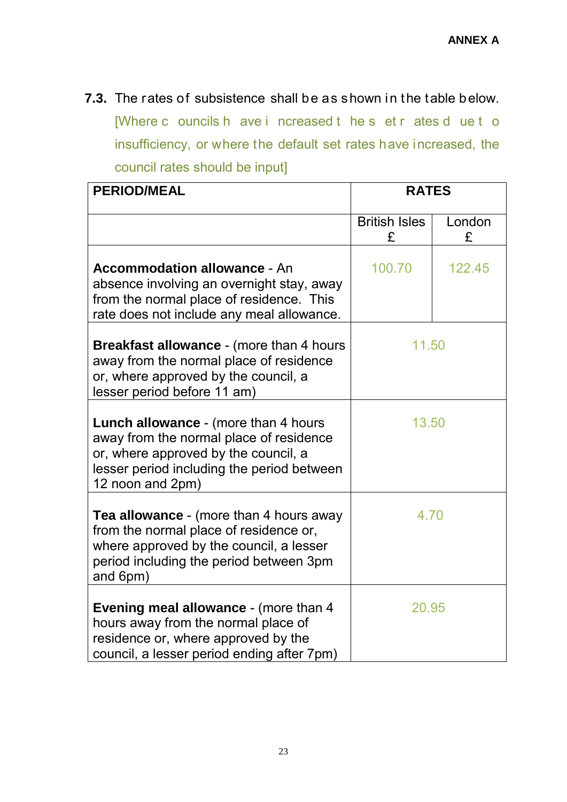**7.3.** The rates of subsistence shall be as shown in the table below. [Where c ouncils h ave i ncreased t he s et r ates d ue t o insufficiency, or where the default set rates have increased, the council rates should be input]

| <b>PERIOD/MEAL</b>                                                                                                                                                                                | <b>RATES</b>              |             |
|---------------------------------------------------------------------------------------------------------------------------------------------------------------------------------------------------|---------------------------|-------------|
|                                                                                                                                                                                                   | <b>British Isles</b><br>£ | London<br>£ |
| <b>Accommodation allowance - An</b><br>absence involving an overnight stay, away<br>from the normal place of residence. This<br>rate does not include any meal allowance.                         | 100.70                    | 122.45      |
| <b>Breakfast allowance - (more than 4 hours)</b><br>away from the normal place of residence<br>or, where approved by the council, a<br>lesser period before 11 am)                                | 11.50                     |             |
| <b>Lunch allowance - (more than 4 hours)</b><br>away from the normal place of residence<br>or, where approved by the council, a<br>lesser period including the period between<br>12 noon and 2pm) | 13.50                     |             |
| <b>Tea allowance -</b> (more than 4 hours away<br>from the normal place of residence or,<br>where approved by the council, a lesser<br>period including the period between 3pm<br>and 6pm)        | 4.70                      |             |
| <b>Evening meal allowance - (more than 4</b><br>hours away from the normal place of<br>residence or, where approved by the<br>council, a lesser period ending after 7pm)                          | 20.95                     |             |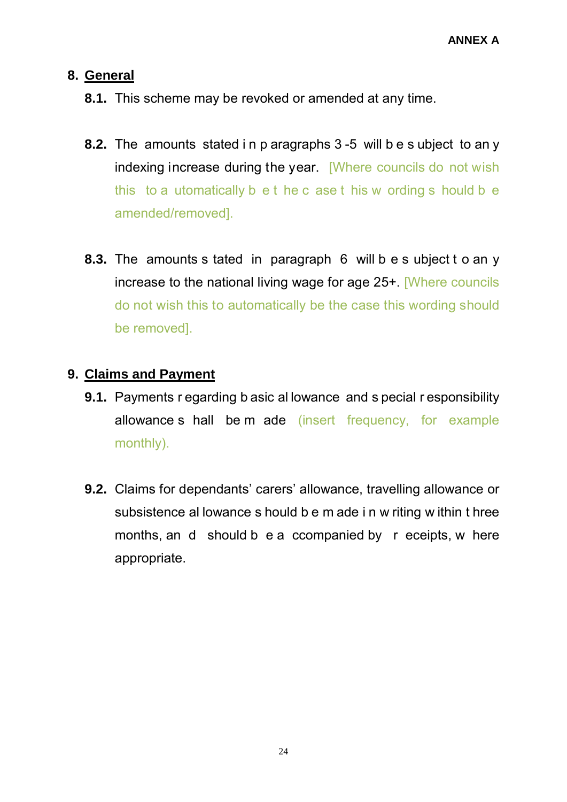#### **8. General**

- **8.1.** This scheme may be revoked or amended at any time.
- **8.2.** The amounts stated i n p aragraphs 3 -5 will b e s ubject to an y indexing increase during the year. [Where councils do not wish this to a utomatically b e t he c ase t his w ording s hould b e amended/removed].
- **8.3.** The amounts s tated in paragraph 6 will b e s ubject t o an y increase to the national living wage for age 25+. [Where councils do not wish this to automatically be the case this wording should be removed].

#### **9. Claims and Payment**

- **9.1.** Payments r egarding b asic al lowance and s pecial r esponsibility allowance s hall be m ade (insert frequency, for example monthly).
- **9.2.** Claims for dependants' carers' allowance, travelling allowance or subsistence al lowance s hould b e m ade i n w riting w ithin t hree months, an d should b e a ccompanied by r eceipts, w here appropriate.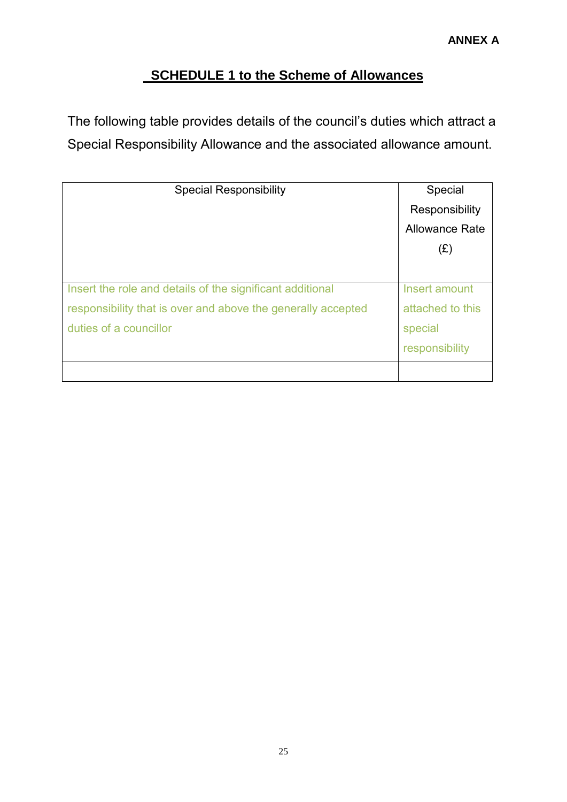## **SCHEDULE 1 to the Scheme of Allowances**

The following table provides details of the council's duties which attract a Special Responsibility Allowance and the associated allowance amount.

| <b>Special Responsibility</b>                                                                                                                       | Special<br>Responsibility<br><b>Allowance Rate</b><br>(E)      |
|-----------------------------------------------------------------------------------------------------------------------------------------------------|----------------------------------------------------------------|
| Insert the role and details of the significant additional<br>responsibility that is over and above the generally accepted<br>duties of a councillor | Insert amount<br>attached to this<br>special<br>responsibility |
|                                                                                                                                                     |                                                                |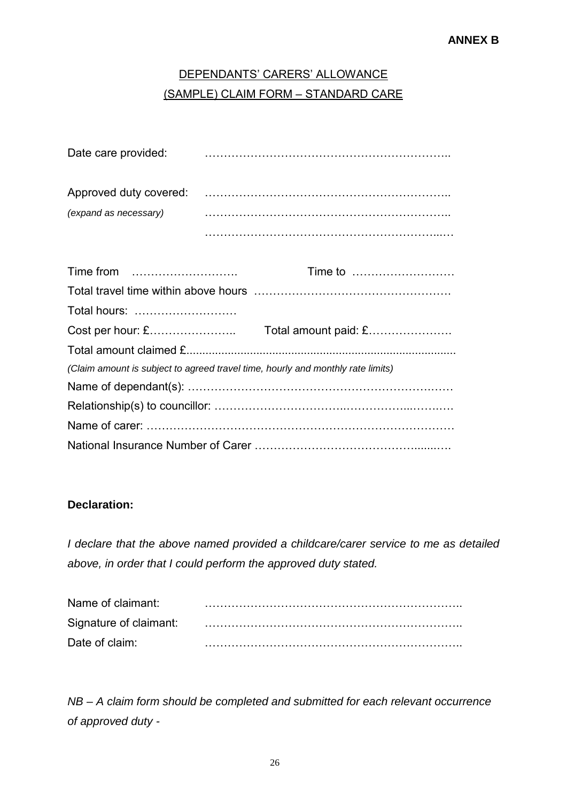## DEPENDANTS' CARERS' ALLOWANCE (SAMPLE) CLAIM FORM – STANDARD CARE

| Date care provided:    |  |
|------------------------|--|
| Approved duty covered: |  |
| (expand as necessary)  |  |
|                        |  |

|                                                                                 | Time to |
|---------------------------------------------------------------------------------|---------|
|                                                                                 |         |
| Total hours:                                                                    |         |
|                                                                                 |         |
|                                                                                 |         |
| (Claim amount is subject to agreed travel time, hourly and monthly rate limits) |         |
|                                                                                 |         |
|                                                                                 |         |
|                                                                                 |         |
|                                                                                 |         |

#### **Declaration:**

*I declare that the above named provided a childcare/carer service to me as detailed above, in order that I could perform the approved duty stated.*

| Name of claimant: |  |
|-------------------|--|
|                   |  |
| Date of claim:    |  |

*NB – A claim form should be completed and submitted for each relevant occurrence of approved duty -*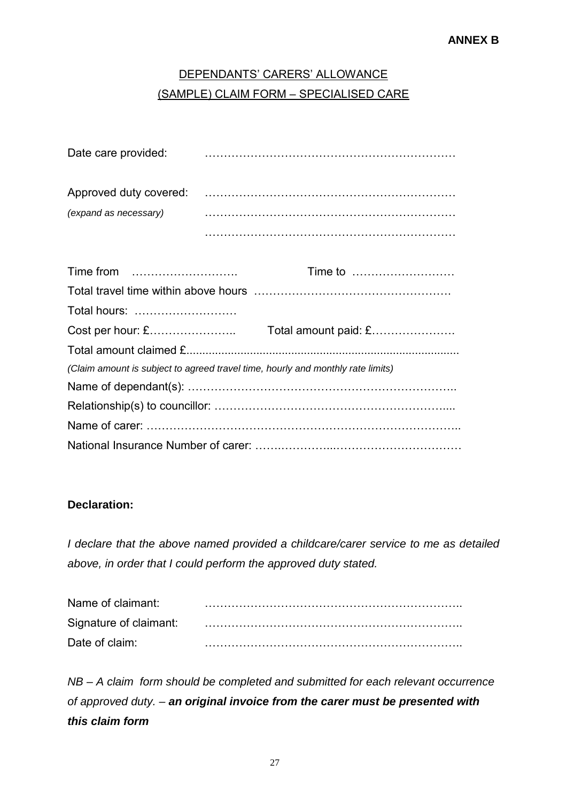## DEPENDANTS' CARERS' ALLOWANCE (SAMPLE) CLAIM FORM – SPECIALISED CARE

| Date care provided:   |  |
|-----------------------|--|
|                       |  |
| (expand as necessary) |  |
|                       |  |

| Total hours:                                                                    |  |
|---------------------------------------------------------------------------------|--|
|                                                                                 |  |
|                                                                                 |  |
| (Claim amount is subject to agreed travel time, hourly and monthly rate limits) |  |
|                                                                                 |  |
|                                                                                 |  |
|                                                                                 |  |
|                                                                                 |  |

#### **Declaration:**

*I declare that the above named provided a childcare/carer service to me as detailed above, in order that I could perform the approved duty stated.*

| Name of claimant: |  |
|-------------------|--|
|                   |  |
| Date of claim:    |  |

*NB – A claim form should be completed and submitted for each relevant occurrence of approved duty. – an original invoice from the carer must be presented with this claim form*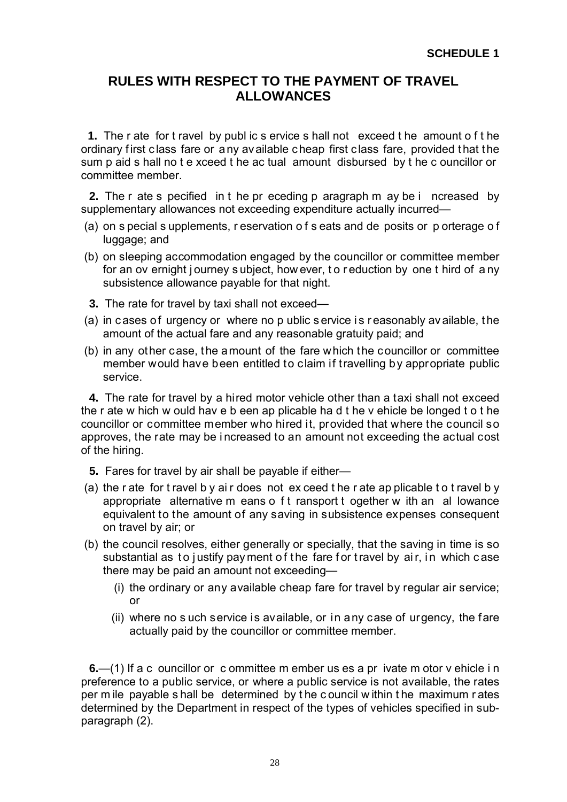#### **RULES WITH RESPECT TO THE PAYMENT OF TRAVEL ALLOWANCES**

**1.** The r ate for t ravel by publ ic s ervice s hall not exceed t he amount o f t he ordinary first class fare or any available cheap first class fare, provided that the sum p aid s hall no t e xceed t he ac tual amount disbursed by t he c ouncillor or committee member.

**2.** The r ate s pecified in t he pr eceding p aragraph m ay be i ncreased by supplementary allowances not exceeding expenditure actually incurred—

- (a) on s pecial s upplements, r eservation o f s eats and de posits or p orterage o f luggage; and
- (b) on sleeping accommodation engaged by the councillor or committee member for an ov ernight j ourney s ubject, how ever, t o r eduction by one t hird of a ny subsistence allowance payable for that night.
- **3.** The rate for travel by taxi shall not exceed—
- (a) in cases of urgency or where no p ublic service is reasonably av ailable, the amount of the actual fare and any reasonable gratuity paid; and
- (b) in any other case, the amount of the fare which the councillor or committee member would have been entitled to claim if travelling by appropriate public service.

**4.** The rate for travel by a hired motor vehicle other than a taxi shall not exceed the r ate w hich w ould hav e b een ap plicable ha d t he v ehicle be longed t o t he councillor or committee member who hired it, provided that where the council so approves, the rate may be i ncreased to an amount not exceeding the actual cost of the hiring.

- **5.** Fares for travel by air shall be payable if either—
- (a) the r ate for t ravel b y ai r does not ex ceed t he r ate ap plicable t o t ravel b y appropriate alternative m eans o f t ransport t ogether w ith an al lowance equivalent to the amount of any saving in subsistence expenses consequent on travel by air; or
- (b) the council resolves, either generally or specially, that the saving in time is so substantial as to justify payment of the fare for travel by air, in which case there may be paid an amount not exceeding—
	- (i) the ordinary or any available cheap fare for travel by regular air service; or
	- (ii) where no s uch service is available, or in any case of urgency, the fare actually paid by the councillor or committee member.

**6.**—(1) If a c ouncillor or c ommittee m ember us es a pr ivate m otor v ehicle i n preference to a public service, or where a public service is not available, the rates per m ile payable s hall be determined by t he c ouncil w ithin t he maximum r ates determined by the Department in respect of the types of vehicles specified in subparagraph (2).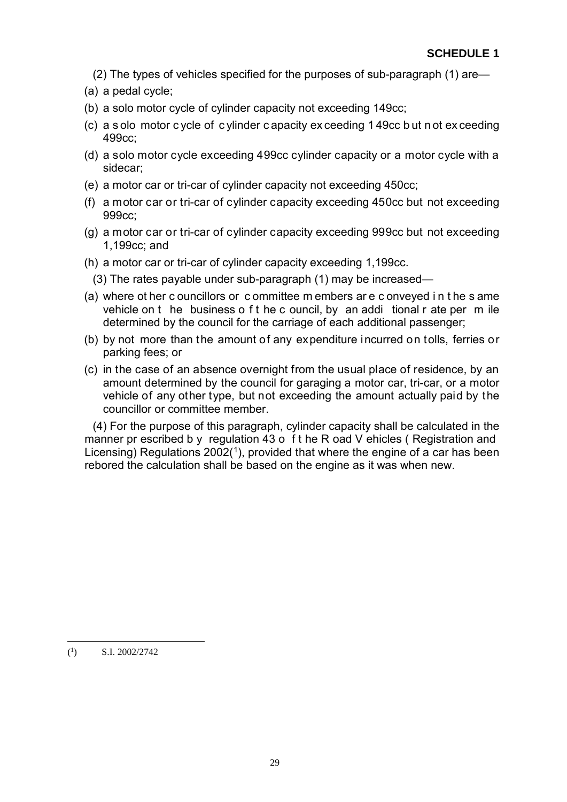- (2) The types of vehicles specified for the purposes of sub-paragraph (1) are—
- (a) a pedal cycle;
- (b) a solo motor cycle of cylinder capacity not exceeding 149cc;
- (c) a s olo motor c ycle of c ylinder c apacity ex ceeding 1 49cc b ut n ot ex ceeding 499cc;
- (d) a solo motor cycle exceeding 499cc cylinder capacity or a motor cycle with a sidecar;
- (e) a motor car or tri-car of cylinder capacity not exceeding 450cc;
- (f) a motor car or tri-car of cylinder capacity exceeding 450cc but not exceeding 999cc;
- (g) a motor car or tri-car of cylinder capacity exceeding 999cc but not exceeding 1,199cc; and
- (h) a motor car or tri-car of cylinder capacity exceeding 1,199cc.
- (3) The rates payable under sub-paragraph (1) may be increased—
- (a) where ot her c ouncillors or c ommittee m embers ar e c onveyed i n t he s ame vehicle on t he business o f t he c ouncil, by an addi tional r ate per m ile determined by the council for the carriage of each additional passenger;
- (b) by not more than the amount of any expenditure incurred on tolls, ferries or parking fees; or
- (c) in the case of an absence overnight from the usual place of residence, by an amount determined by the council for garaging a motor car, tri-car, or a motor vehicle of any other type, but not exceeding the amount actually paid by the councillor or committee member.

(4) For the purpose of this paragraph, cylinder capacity shall be calculated in the manner pr escribed b y regulation 43 o f t he R oad V ehicles (Registration and Licensing) Regulations  $2002<sup>(1)</sup>$  $2002<sup>(1)</sup>$  $2002<sup>(1)</sup>$ , provided that where the engine of a car has been rebored the calculation shall be based on the engine as it was when new.

<u>.</u>

<span id="page-34-0"></span> $(^1$ ) S.I. 2002/2742